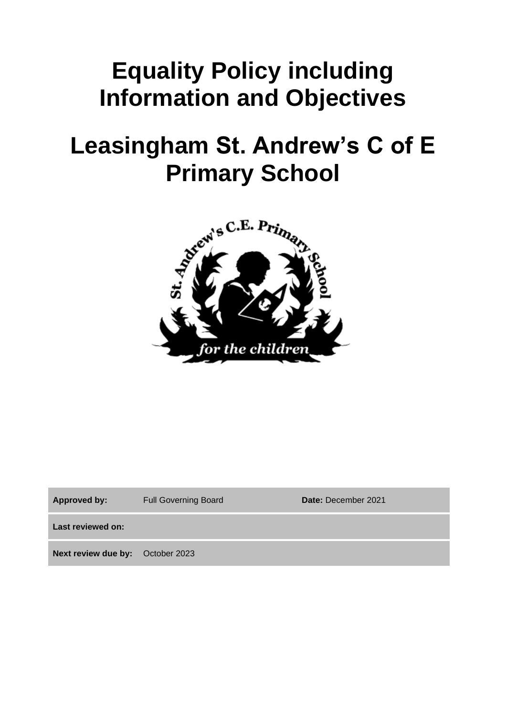# **Equality Policy including Information and Objectives**

# **Leasingham St. Andrew's C of E Primary School**



| <b>Approved by:</b>                     | <b>Full Governing Board</b> | Date: December 2021 |
|-----------------------------------------|-----------------------------|---------------------|
| Last reviewed on:                       |                             |                     |
| <b>Next review due by:</b> October 2023 |                             |                     |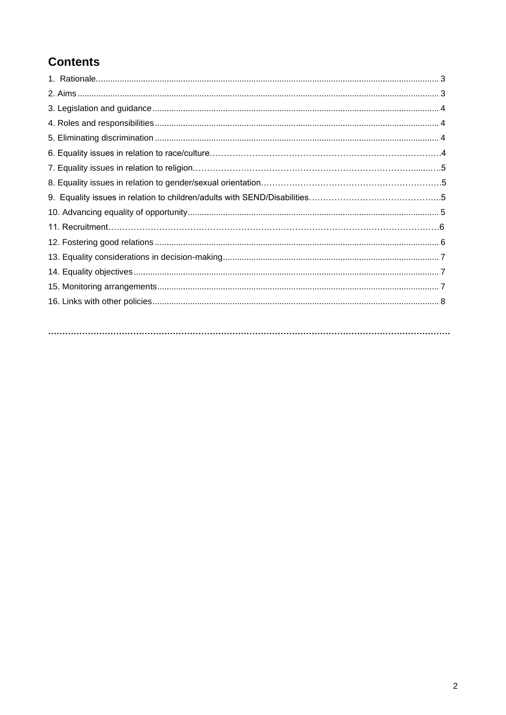## **Contents**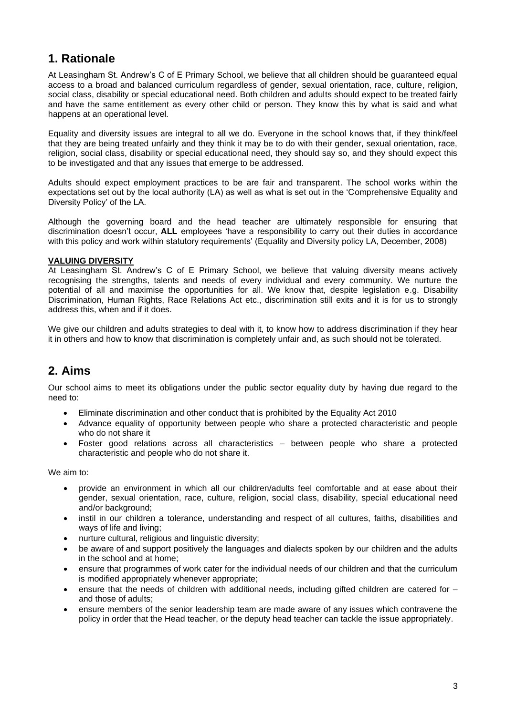#### **1. Rationale**

At Leasingham St. Andrew's C of E Primary School, we believe that all children should be guaranteed equal access to a broad and balanced curriculum regardless of gender, sexual orientation, race, culture, religion, social class, disability or special educational need. Both children and adults should expect to be treated fairly and have the same entitlement as every other child or person. They know this by what is said and what happens at an operational level.

Equality and diversity issues are integral to all we do. Everyone in the school knows that, if they think/feel that they are being treated unfairly and they think it may be to do with their gender, sexual orientation, race, religion, social class, disability or special educational need, they should say so, and they should expect this to be investigated and that any issues that emerge to be addressed.

Adults should expect employment practices to be are fair and transparent. The school works within the expectations set out by the local authority (LA) as well as what is set out in the 'Comprehensive Equality and Diversity Policy' of the LA.

Although the governing board and the head teacher are ultimately responsible for ensuring that discrimination doesn't occur, **ALL** employees 'have a responsibility to carry out their duties in accordance with this policy and work within statutory requirements' (Equality and Diversity policy LA, December, 2008)

#### **VALUING DIVERSITY**

At Leasingham St. Andrew's C of E Primary School, we believe that valuing diversity means actively recognising the strengths, talents and needs of every individual and every community. We nurture the potential of all and maximise the opportunities for all. We know that, despite legislation e.g. Disability Discrimination, Human Rights, Race Relations Act etc., discrimination still exits and it is for us to strongly address this, when and if it does.

We give our children and adults strategies to deal with it, to know how to address discrimination if they hear it in others and how to know that discrimination is completely unfair and, as such should not be tolerated.

#### **2. Aims**

Our school aims to meet its obligations under the public sector equality duty by having due regard to the need to:

- Eliminate discrimination and other conduct that is prohibited by the Equality Act 2010
- Advance equality of opportunity between people who share a protected characteristic and people who do not share it
- Foster good relations across all characteristics between people who share a protected characteristic and people who do not share it.

We aim to:

- provide an environment in which all our children/adults feel comfortable and at ease about their gender, sexual orientation, race, culture, religion, social class, disability, special educational need and/or background:
- instil in our children a tolerance, understanding and respect of all cultures, faiths, disabilities and ways of life and living;
- nurture cultural, religious and linguistic diversity;
- be aware of and support positively the languages and dialects spoken by our children and the adults in the school and at home;
- ensure that programmes of work cater for the individual needs of our children and that the curriculum is modified appropriately whenever appropriate;
- ensure that the needs of children with additional needs, including gifted children are catered for and those of adults;
- ensure members of the senior leadership team are made aware of any issues which contravene the policy in order that the Head teacher, or the deputy head teacher can tackle the issue appropriately.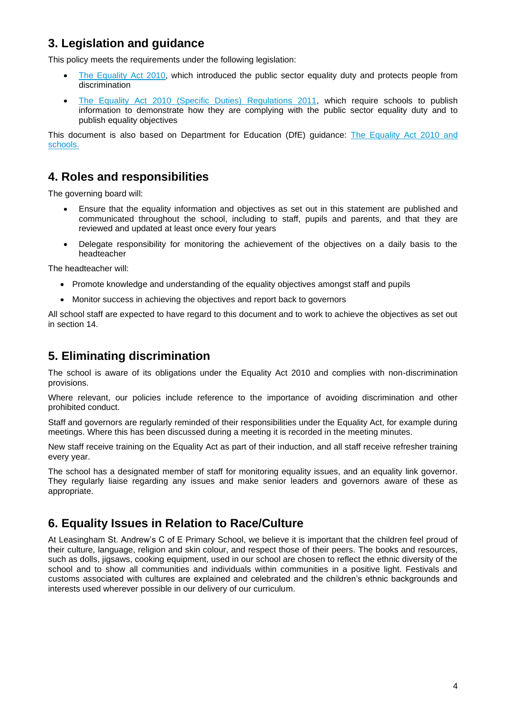## **3. Legislation and guidance**

This policy meets the requirements under the following legislation:

- [The Equality Act 2010,](http://www.legislation.gov.uk/ukpga/2010/15/contents) which introduced the public sector equality duty and protects people from discrimination
- [The Equality Act 2010 \(Specific Duties\) Regulations 2011,](http://www.legislation.gov.uk/uksi/2011/2260/contents/made) which require schools to publish information to demonstrate how they are complying with the public sector equality duty and to publish equality objectives

This document is also based on Department for Education (DfE) guidance: [The Equality Act 2010 and](https://www.gov.uk/government/uploads/system/uploads/attachment_data/file/315587/Equality_Act_Advice_Final.pdf)  [schools.](https://www.gov.uk/government/uploads/system/uploads/attachment_data/file/315587/Equality_Act_Advice_Final.pdf)

#### **4. Roles and responsibilities**

The governing board will:

- Ensure that the equality information and objectives as set out in this statement are published and communicated throughout the school, including to staff, pupils and parents, and that they are reviewed and updated at least once every four years
- Delegate responsibility for monitoring the achievement of the objectives on a daily basis to the headteacher

The headteacher will:

- Promote knowledge and understanding of the equality objectives amongst staff and pupils
- Monitor success in achieving the objectives and report back to governors

All school staff are expected to have regard to this document and to work to achieve the objectives as set out in section 14.

#### **5. Eliminating discrimination**

The school is aware of its obligations under the Equality Act 2010 and complies with non-discrimination provisions.

Where relevant, our policies include reference to the importance of avoiding discrimination and other prohibited conduct.

Staff and governors are regularly reminded of their responsibilities under the Equality Act, for example during meetings. Where this has been discussed during a meeting it is recorded in the meeting minutes.

New staff receive training on the Equality Act as part of their induction, and all staff receive refresher training every year.

The school has a designated member of staff for monitoring equality issues, and an equality link governor. They regularly liaise regarding any issues and make senior leaders and governors aware of these as appropriate.

#### **6. Equality Issues in Relation to Race/Culture**

At Leasingham St. Andrew's C of E Primary School, we believe it is important that the children feel proud of their culture, language, religion and skin colour, and respect those of their peers. The books and resources, such as dolls, jigsaws, cooking equipment, used in our school are chosen to reflect the ethnic diversity of the school and to show all communities and individuals within communities in a positive light. Festivals and customs associated with cultures are explained and celebrated and the children's ethnic backgrounds and interests used wherever possible in our delivery of our curriculum.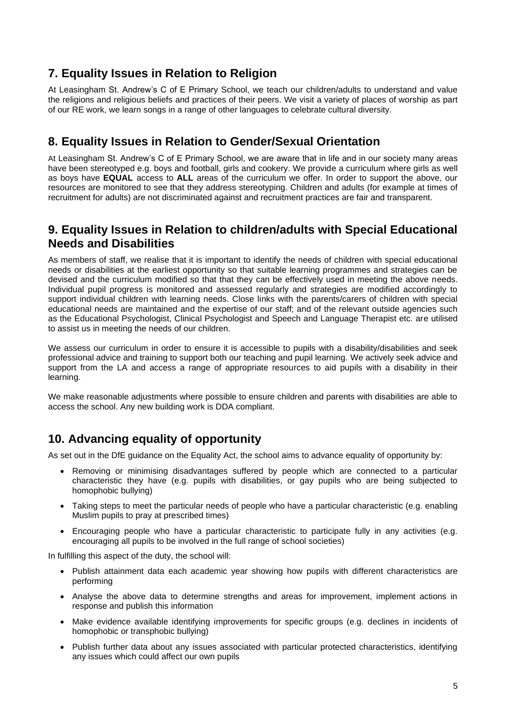### **7. Equality Issues in Relation to Religion**

At Leasingham St. Andrew's C of E Primary School, we teach our children/adults to understand and value the religions and religious beliefs and practices of their peers. We visit a variety of places of worship as part of our RE work, we learn songs in a range of other languages to celebrate cultural diversity.

#### **8. Equality Issues in Relation to Gender/Sexual Orientation**

At Leasingham St. Andrew's C of E Primary School, we are aware that in life and in our society many areas have been stereotyped e.g. boys and football, girls and cookery. We provide a curriculum where girls as well as boys have **EQUAL** access to **ALL** areas of the curriculum we offer. In order to support the above, our resources are monitored to see that they address stereotyping. Children and adults (for example at times of recruitment for adults) are not discriminated against and recruitment practices are fair and transparent.

#### **9. Equality Issues in Relation to children/adults with Special Educational Needs and Disabilities**

As members of staff, we realise that it is important to identify the needs of children with special educational needs or disabilities at the earliest opportunity so that suitable learning programmes and strategies can be devised and the curriculum modified so that that they can be effectively used in meeting the above needs. Individual pupil progress is monitored and assessed regularly and strategies are modified accordingly to support individual children with learning needs. Close links with the parents/carers of children with special educational needs are maintained and the expertise of our staff; and of the relevant outside agencies such as the Educational Psychologist, Clinical Psychologist and Speech and Language Therapist etc. are utilised to assist us in meeting the needs of our children.

We assess our curriculum in order to ensure it is accessible to pupils with a disability/disabilities and seek professional advice and training to support both our teaching and pupil learning. We actively seek advice and support from the LA and access a range of appropriate resources to aid pupils with a disability in their learning.

We make reasonable adjustments where possible to ensure children and parents with disabilities are able to access the school. Any new building work is DDA compliant.

#### **10. Advancing equality of opportunity**

As set out in the DfE guidance on the Equality Act, the school aims to advance equality of opportunity by:

- Removing or minimising disadvantages suffered by people which are connected to a particular characteristic they have (e.g. pupils with disabilities, or gay pupils who are being subjected to homophobic bullying)
- Taking steps to meet the particular needs of people who have a particular characteristic (e.g. enabling Muslim pupils to pray at prescribed times)
- Encouraging people who have a particular characteristic to participate fully in any activities (e.g. encouraging all pupils to be involved in the full range of school societies)

In fulfilling this aspect of the duty, the school will:

- Publish attainment data each academic year showing how pupils with different characteristics are performing
- Analyse the above data to determine strengths and areas for improvement, implement actions in response and publish this information
- Make evidence available identifying improvements for specific groups (e.g. declines in incidents of homophobic or transphobic bullying)
- Publish further data about any issues associated with particular protected characteristics, identifying any issues which could affect our own pupils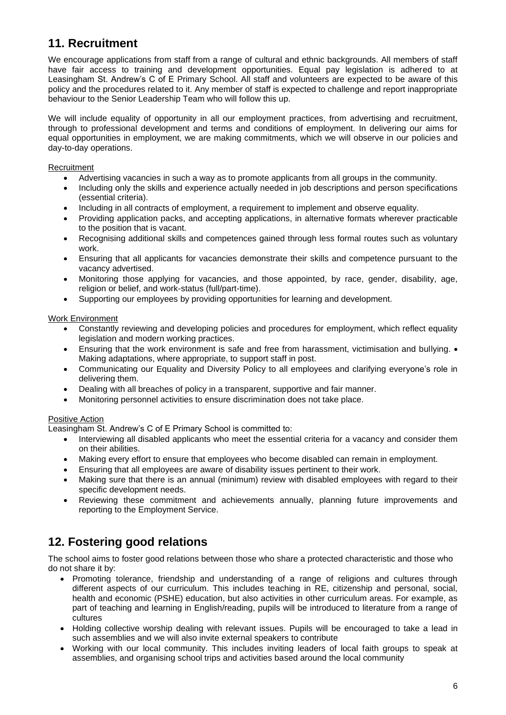## **11. Recruitment**

We encourage applications from staff from a range of cultural and ethnic backgrounds. All members of staff have fair access to training and development opportunities. Equal pay legislation is adhered to at Leasingham St. Andrew's C of E Primary School. All staff and volunteers are expected to be aware of this policy and the procedures related to it. Any member of staff is expected to challenge and report inappropriate behaviour to the Senior Leadership Team who will follow this up.

We will include equality of opportunity in all our employment practices, from advertising and recruitment, through to professional development and terms and conditions of employment. In delivering our aims for equal opportunities in employment, we are making commitments, which we will observe in our policies and day-to-day operations.

#### **Recruitment**

- Advertising vacancies in such a way as to promote applicants from all groups in the community.
- Including only the skills and experience actually needed in job descriptions and person specifications (essential criteria).
- Including in all contracts of employment, a requirement to implement and observe equality.
- Providing application packs, and accepting applications, in alternative formats wherever practicable to the position that is vacant.
- Recognising additional skills and competences gained through less formal routes such as voluntary work.
- Ensuring that all applicants for vacancies demonstrate their skills and competence pursuant to the vacancy advertised.
- Monitoring those applying for vacancies, and those appointed, by race, gender, disability, age, religion or belief, and work-status (full/part-time).
- Supporting our employees by providing opportunities for learning and development.

#### Work Environment

- Constantly reviewing and developing policies and procedures for employment, which reflect equality legislation and modern working practices.
- Ensuring that the work environment is safe and free from harassment, victimisation and bullying. Making adaptations, where appropriate, to support staff in post.
- Communicating our Equality and Diversity Policy to all employees and clarifying everyone's role in delivering them.
- Dealing with all breaches of policy in a transparent, supportive and fair manner.
- Monitoring personnel activities to ensure discrimination does not take place.

#### Positive Action

Leasingham St. Andrew's C of E Primary School is committed to:

- Interviewing all disabled applicants who meet the essential criteria for a vacancy and consider them on their abilities.
- Making every effort to ensure that employees who become disabled can remain in employment.
- Ensuring that all employees are aware of disability issues pertinent to their work.
- Making sure that there is an annual (minimum) review with disabled employees with regard to their specific development needs.
- Reviewing these commitment and achievements annually, planning future improvements and reporting to the Employment Service.

## **12. Fostering good relations**

The school aims to foster good relations between those who share a protected characteristic and those who do not share it by:

- Promoting tolerance, friendship and understanding of a range of religions and cultures through different aspects of our curriculum. This includes teaching in RE, citizenship and personal, social, health and economic (PSHE) education, but also activities in other curriculum areas. For example, as part of teaching and learning in English/reading, pupils will be introduced to literature from a range of cultures
- Holding collective worship dealing with relevant issues. Pupils will be encouraged to take a lead in such assemblies and we will also invite external speakers to contribute
- Working with our local community. This includes inviting leaders of local faith groups to speak at assemblies, and organising school trips and activities based around the local community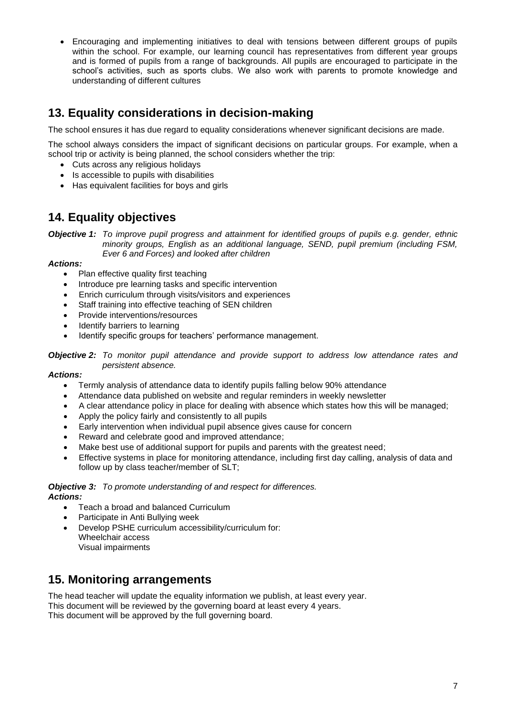• Encouraging and implementing initiatives to deal with tensions between different groups of pupils within the school. For example, our learning council has representatives from different year groups and is formed of pupils from a range of backgrounds. All pupils are encouraged to participate in the school's activities, such as sports clubs. We also work with parents to promote knowledge and understanding of different cultures

## **13. Equality considerations in decision-making**

The school ensures it has due regard to equality considerations whenever significant decisions are made.

The school always considers the impact of significant decisions on particular groups. For example, when a school trip or activity is being planned, the school considers whether the trip:

- Cuts across any religious holidays
- Is accessible to pupils with disabilities
- Has equivalent facilities for boys and girls

#### **14. Equality objectives**

*Objective 1: To improve pupil progress and attainment for identified groups of pupils e.g. gender, ethnic minority groups, English as an additional language, SEND, pupil premium (including FSM, Ever 6 and Forces) and looked after children*

*Actions:*

- Plan effective quality first teaching
- Introduce pre learning tasks and specific intervention
- Enrich curriculum through visits/visitors and experiences
- Staff training into effective teaching of SEN children
- Provide interventions/resources
- Identify barriers to learning
- Identify specific groups for teachers' performance management.

*Objective 2: To monitor pupil attendance and provide support to address low attendance rates and persistent absence.* 

#### *Actions:*

- Termly analysis of attendance data to identify pupils falling below 90% attendance
- Attendance data published on website and regular reminders in weekly newsletter
- A clear attendance policy in place for dealing with absence which states how this will be managed;
- Apply the policy fairly and consistently to all pupils
- Early intervention when individual pupil absence gives cause for concern
- Reward and celebrate good and improved attendance;
- Make best use of additional support for pupils and parents with the greatest need;
- Effective systems in place for monitoring attendance, including first day calling, analysis of data and follow up by class teacher/member of SLT;

#### *Objective 3: To promote understanding of and respect for differences. Actions:*

- Teach a broad and balanced Curriculum
- Participate in Anti Bullying week
- Develop PSHE curriculum accessibility/curriculum for: Wheelchair access
	- Visual impairments

## **15. Monitoring arrangements**

The head teacher will update the equality information we publish, at least every year. This document will be reviewed by the governing board at least every 4 years. This document will be approved by the full governing board.